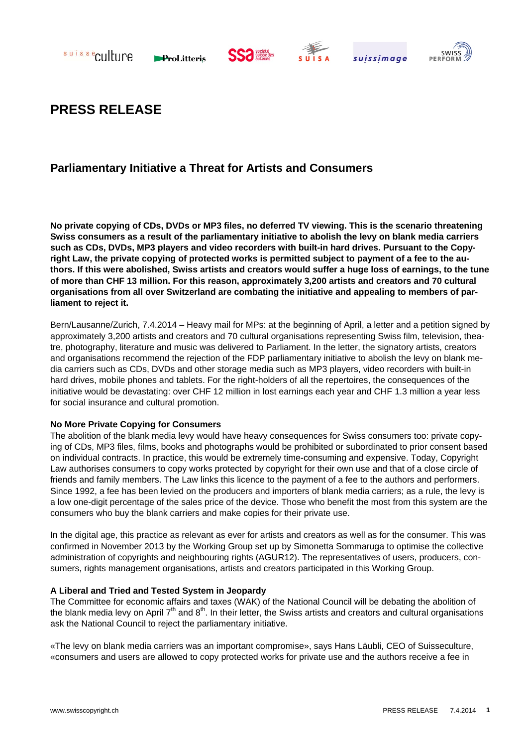

ProLitteris







# **PRESS RELEASE**

## **Parliamentary Initiative a Threat for Artists and Consumers**

**No private copying of CDs, DVDs or MP3 files, no deferred TV viewing. This is the scenario threatening Swiss consumers as a result of the parliamentary initiative to abolish the levy on blank media carriers such as CDs, DVDs, MP3 players and video recorders with built-in hard drives. Pursuant to the Copyright Law, the private copying of protected works is permitted subject to payment of a fee to the authors. If this were abolished, Swiss artists and creators would suffer a huge loss of earnings, to the tune of more than CHF 13 million. For this reason, approximately 3,200 artists and creators and 70 cultural organisations from all over Switzerland are combating the initiative and appealing to members of parliament to reject it.** 

Bern/Lausanne/Zurich, 7.4.2014 – Heavy mail for MPs: at the beginning of April, a letter and a petition signed by approximately 3,200 artists and creators and 70 cultural organisations representing Swiss film, television, theatre, photography, literature and music was delivered to Parliament. In the letter, the signatory artists, creators and organisations recommend the rejection of the FDP parliamentary initiative to abolish the levy on blank media carriers such as CDs, DVDs and other storage media such as MP3 players, video recorders with built-in hard drives, mobile phones and tablets. For the right-holders of all the repertoires, the consequences of the initiative would be devastating: over CHF 12 million in lost earnings each year and CHF 1.3 million a year less for social insurance and cultural promotion.

#### **No More Private Copying for Consumers**

The abolition of the blank media levy would have heavy consequences for Swiss consumers too: private copying of CDs, MP3 files, films, books and photographs would be prohibited or subordinated to prior consent based on individual contracts. In practice, this would be extremely time-consuming and expensive. Today, Copyright Law authorises consumers to copy works protected by copyright for their own use and that of a close circle of friends and family members. The Law links this licence to the payment of a fee to the authors and performers. Since 1992, a fee has been levied on the producers and importers of blank media carriers; as a rule, the levy is a low one-digit percentage of the sales price of the device. Those who benefit the most from this system are the consumers who buy the blank carriers and make copies for their private use.

In the digital age, this practice as relevant as ever for artists and creators as well as for the consumer. This was confirmed in November 2013 by the Working Group set up by Simonetta Sommaruga to optimise the collective administration of copyrights and neighbouring rights (AGUR12). The representatives of users, producers, consumers, rights management organisations, artists and creators participated in this Working Group.

### **A Liberal and Tried and Tested System in Jeopardy**

The Committee for economic affairs and taxes (WAK) of the National Council will be debating the abolition of the blank media levy on April 7th and 8th. In their letter, the Swiss artists and creators and cultural organisations ask the National Council to reject the parliamentary initiative.

«The levy on blank media carriers was an important compromise», says Hans Läubli, CEO of Suisseculture, «consumers and users are allowed to copy protected works for private use and the authors receive a fee in